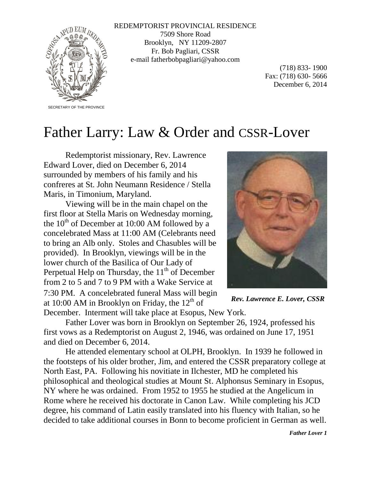

REDEMPTORIST PROVINCIAL RESIDENCE 7509 Shore Road Brooklyn, NY 11209-2807 Fr. Bob Pagliari, CSSR e-mail fatherbobpagliari@yahoo.com

> (718) 833- 1900 Fax: (718) 630- 5666 December 6, 2014

## Father Larry: Law & Order and CSSR-Lover

Redemptorist missionary, Rev. Lawrence Edward Lover, died on December 6, 2014 surrounded by members of his family and his confreres at St. John Neumann Residence / Stella Maris, in Timonium, Maryland.

Viewing will be in the main chapel on the first floor at Stella Maris on Wednesday morning, the  $10<sup>th</sup>$  of December at 10:00 AM followed by a concelebrated Mass at 11:00 AM (Celebrants need to bring an Alb only. Stoles and Chasubles will be provided). In Brooklyn, viewings will be in the lower church of the Basilica of Our Lady of Perpetual Help on Thursday, the  $11<sup>th</sup>$  of December from 2 to 5 and 7 to 9 PM with a Wake Service at 7:30 PM. A concelebrated funeral Mass will begin at 10:00 AM in Brooklyn on Friday, the  $12^{th}$  of December. Interment will take place at Esopus, New York.



*Rev. Lawrence E. Lover, CSSR*

Father Lover was born in Brooklyn on September 26, 1924, professed his first vows as a Redemptorist on August 2, 1946, was ordained on June 17, 1951 and died on December 6, 2014.

He attended elementary school at OLPH, Brooklyn. In 1939 he followed in the footsteps of his older brother, Jim, and entered the CSSR preparatory college at North East, PA. Following his novitiate in Ilchester, MD he completed his philosophical and theological studies at Mount St. Alphonsus Seminary in Esopus, NY where he was ordained. From 1952 to 1955 he studied at the Angelicum in Rome where he received his doctorate in Canon Law. While completing his JCD degree, his command of Latin easily translated into his fluency with Italian, so he decided to take additional courses in Bonn to become proficient in German as well.

*Father Lover 1*